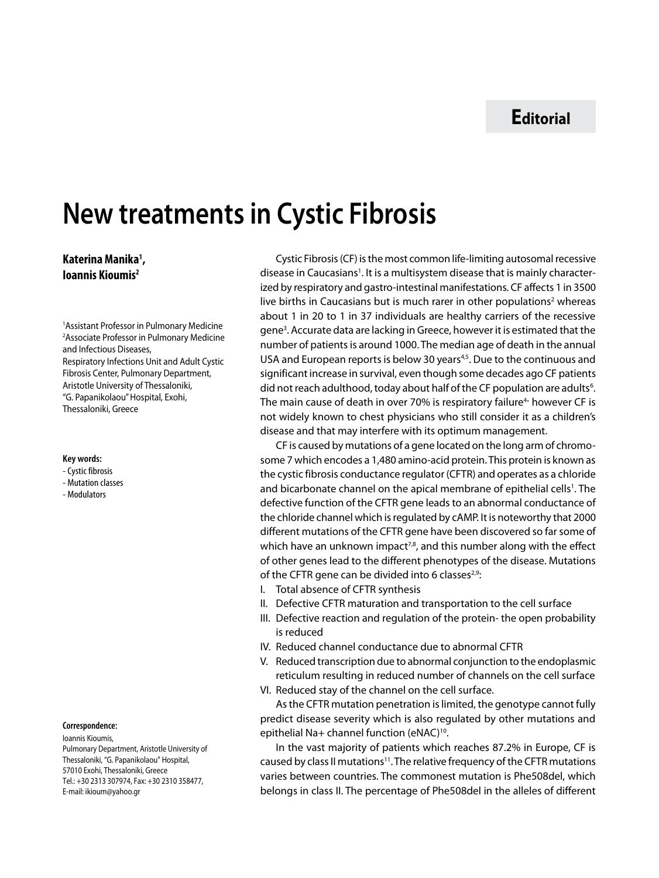# **Νew treatments in Cystic Fibrosis**

# **Katerina Manika1 , Ioannis Kioumis2**

1 Assistant Professor in Pulmonary Medicine 2 Associate Professor in Pulmonary Medicine and Infectious Diseases, Respiratory Infections Unit and Adult Cystic Fibrosis Center, Pulmonary Department, Aristotle University of Thessaloniki, "G. Papanikolaou" Hospital, Exohi, Thessaloniki, Greece

#### **Key words:**

- Cystic fibrosis
- Mutation classes
- Modulators

### **Correspondence:**

Ioannis Kioumis, Pulmonary Department, Aristotle University of Thessaloniki, "G. Papanikolaou" Hospital, 57010 Exohi, Thessaloniki, Greece Tel.: +30 2313 307974, Fax: +30 2310 358477, E-mail: ikioum@yahoo.gr

Cystic Fibrosis (CF) is the most common life-limiting autosomal recessive disease in Caucasians<sup>1</sup>. It is a multisystem disease that is mainly characterized by respiratory and gastro-intestinal manifestations. CF affects 1 in 3500 live births in Caucasians but is much rarer in other populations<sup>2</sup> whereas about 1 in 20 to 1 in 37 individuals are healthy carriers of the recessive gene<sup>3</sup>. Accurate data are lacking in Greece, however it is estimated that the number of patients is around 1000. The median age of death in the annual USA and European reports is below 30 years<sup>4,5</sup>. Due to the continuous and significant increase in survival, even though some decades ago CF patients did not reach adulthood, today about half of the CF population are adults<sup>6</sup>. The main cause of death in over 70% is respiratory failure<sup>4</sup> however CF is not widely known to chest physicians who still consider it as a children's disease and that may interfere with its optimum management.

CF is caused by mutations of a gene located on the long arm of chromosome 7 which encodes a 1,480 amino-acid protein. This protein is known as the cystic fibrosis conductance regulator (CFTR) and operates as a chloride and bicarbonate channel on the apical membrane of epithelial cells<sup>1</sup>. The defective function of the CFTR gene leads to an abnormal conductance of the chloride channel which is regulated by cAMP. It is noteworthy that 2000 different mutations of the CFTR gene have been discovered so far some of which have an unknown impact<sup>7,8</sup>, and this number along with the effect of other genes lead to the different phenotypes of the disease. Mutations of the CFTR gene can be divided into 6 classes $2.9$ :

- I. Total absence of CFTR synthesis
- II. Defective CFTR maturation and transportation to the cell surface
- III. Defective reaction and regulation of the protein- the open probability is reduced
- IV. Reduced channel conductance due to abnormal CFTR
- V. Reduced transcription due to abnormal conjunction to the endoplasmic reticulum resulting in reduced number of channels on the cell surface
- VI. Reduced stay of the channel on the cell surface.

As the CFTR mutation penetration is limited, the genotype cannot fully predict disease severity which is also regulated by other mutations and epithelial Na+ channel function (eNAC)<sup>10</sup>.

In the vast majority of patients which reaches 87.2% in Europe, CF is caused by class II mutations<sup>11</sup>. The relative frequency of the CFTR mutations varies between countries. The commonest mutation is Phe508del, which belongs in class II. The percentage of Phe508del in the alleles of different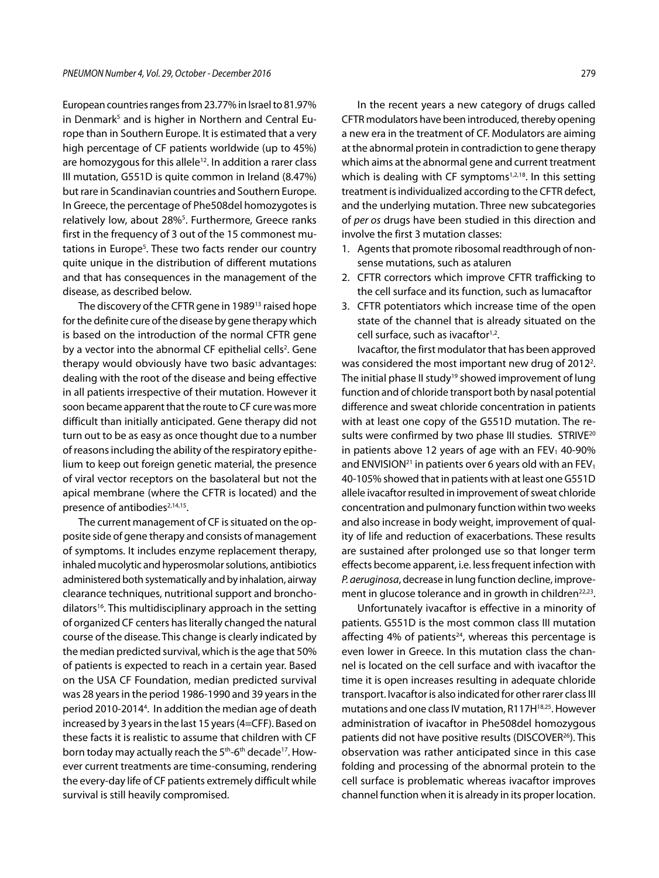European countries ranges from 23.77% in Israel to 81.97% in Denmark<sup>5</sup> and is higher in Northern and Central Europe than in Southern Europe. It is estimated that a very high percentage of CF patients worldwide (up to 45%) are homozygous for this allele<sup>12</sup>. In addition a rarer class III mutation, G551D is quite common in Ireland (8.47%) but rare in Scandinavian countries and Southern Europe. In Greece, the percentage of Phe508del homozygotes is relatively low, about 28%<sup>5</sup>. Furthermore, Greece ranks first in the frequency of 3 out of the 15 commonest mutations in Europe<sup>5</sup>. These two facts render our country quite unique in the distribution of different mutations and that has consequences in the management of the disease, as described below.

The discovery of the CFTR gene in 1989<sup>13</sup> raised hope for the definite cure of the disease by gene therapy which is based on the introduction of the normal CFTR gene by a vector into the abnormal CF epithelial cells<sup>2</sup>. Gene therapy would obviously have two basic advantages: dealing with the root of the disease and being effective in all patients irrespective of their mutation. However it soon became apparent that the route to CF cure was more difficult than initially anticipated. Gene therapy did not turn out to be as easy as once thought due to a number of reasons including the ability of the respiratory epithelium to keep out foreign genetic material, the presence of viral vector receptors on the basolateral but not the apical membrane (where the CFTR is located) and the presence of antibodies<sup>2,14,15</sup>.

The current management of CF is situated on the opposite side of gene therapy and consists of management of symptoms. It includes enzyme replacement therapy, inhaled mucolytic and hyperosmolar solutions, antibiotics administered both systematically and by inhalation, airway clearance techniques, nutritional support and bronchodilators<sup>16</sup>. This multidisciplinary approach in the setting of organized CF centers has literally changed the natural course of the disease. This change is clearly indicated by the median predicted survival, which is the age that 50% of patients is expected to reach in a certain year. Based on the USA CF Foundation, median predicted survival was 28 years in the period 1986-1990 and 39 years in the period 2010-20144 . In addition the median age of death increased by 3 years in the last 15 years (4=CFF). Based on these facts it is realistic to assume that children with CF born today may actually reach the 5<sup>th</sup>-6<sup>th</sup> decade<sup>17</sup>. However current treatments are time-consuming, rendering the every-day life of CF patients extremely difficult while survival is still heavily compromised.

In the recent years a new category of drugs called CFTR modulators have been introduced, thereby opening a new era in the treatment of CF. Modulators are aiming at the abnormal protein in contradiction to gene therapy which aims at the abnormal gene and current treatment which is dealing with CF symptoms<sup>1,2,18</sup>. In this setting treatment is individualized according to the CFTR defect, and the underlying mutation. Three new subcategories of *per os* drugs have been studied in this direction and involve the first 3 mutation classes:

- 1. Agents that promote ribosomal readthrough of nonsense mutations, such as ataluren
- 2. CFTR correctors which improve CFTR trafficking to the cell surface and its function, such as lumacaftor
- 3. CFTR potentiators which increase time of the open state of the channel that is already situated on the cell surface, such as ivacaftor<sup>1,2</sup>.

Ivacaftor, the first modulator that has been approved was considered the most important new drug of 2012<sup>2</sup>. The initial phase II study<sup>19</sup> showed improvement of lung function and of chloride transport both by nasal potential difference and sweat chloride concentration in patients with at least one copy of the G551D mutation. The results were confirmed by two phase III studies. STRIVE<sup>20</sup> in patients above 12 years of age with an  $FEV<sub>1</sub>$  40-90% and ENVISION<sup>21</sup> in patients over 6 years old with an FEV<sub>1</sub> 40-105% showed that in patients with at least one G551D allele ivacaftor resulted in improvement of sweat chloride concentration and pulmonary function within two weeks and also increase in body weight, improvement of quality of life and reduction of exacerbations. These results are sustained after prolonged use so that longer term effects become apparent, i.e. less frequent infection with *P. aeruginosa*, decrease in lung function decline, improvement in glucose tolerance and in growth in children<sup>22,23</sup>.

Unfortunately ivacaftor is effective in a minority of patients. G551D is the most common class III mutation affecting 4% of patients<sup>24</sup>, whereas this percentage is even lower in Greece. In this mutation class the channel is located on the cell surface and with ivacaftor the time it is open increases resulting in adequate chloride transport. Ivacaftor is also indicated for other rarer class III mutations and one class IV mutation, R117H18,25. However administration of ivacaftor in Phe508del homozygous patients did not have positive results (DISCOVER<sup>26</sup>). This observation was rather anticipated since in this case folding and processing of the abnormal protein to the cell surface is problematic whereas ivacaftor improves channel function when it is already in its proper location.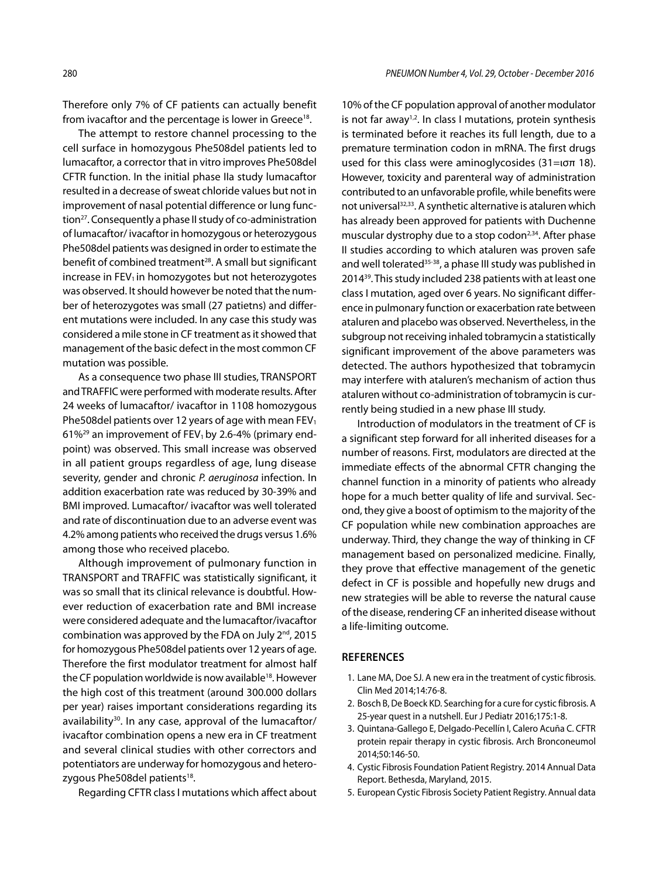Therefore only 7% of CF patients can actually benefit from ivacaftor and the percentage is lower in Greece<sup>18</sup>.

The attempt to restore channel processing to the cell surface in homozygous Phe508del patients led to lumacaftor, a corrector that in vitro improves Phe508del CFTR function. In the initial phase ΙΙa study lumacaftor resulted in a decrease of sweat chloride values but not in improvement of nasal potential difference or lung function<sup>27</sup>. Consequently a phase II study of co-administration of lumacaftor/ ivacaftor in homozygous or heterozygous Phe508del patients was designed in order to estimate the benefit of combined treatment<sup>28</sup>. A small but significant increase in  $FEV<sub>1</sub>$  in homozygotes but not heterozygotes was observed. It should however be noted that the number of heterozygotes was small (27 patietns) and different mutations were included. In any case this study was considered a mile stone in CF treatment as it showed that management of the basic defect in the most common CF mutation was possible.

As a consequence two phase III studies, TRANSPORT and TRAFFIC were performed with moderate results. After 24 weeks of lumacaftor/ ivacaftor in 1108 homozygous Phe508del patients over 12 years of age with mean FEV<sub>1</sub> 61%<sup>29</sup> an improvement of FEV<sub>1</sub> by 2.6-4% (primary endpoint) was observed. This small increase was observed in all patient groups regardless of age, lung disease severity, gender and chronic *P. aeruginosa* infection. In addition exacerbation rate was reduced by 30-39% and BMI improved. Lumacaftor/ ivacaftor was well tolerated and rate of discontinuation due to an adverse event was 4.2% among patients who received the drugs versus 1.6% among those who received placebo.

Although improvement of pulmonary function in TRANSPORT and TRAFFIC was statistically significant, it was so small that its clinical relevance is doubtful. However reduction of exacerbation rate and BMI increase were considered adequate and the lumacaftor/ivacaftor combination was approved by the FDA on July  $2^{nd}$ , 2015 for homozygous Phe508del patients over 12 years of age. Therefore the first modulator treatment for almost half the CF population worldwide is now available<sup>18</sup>. However the high cost of this treatment (around 300.000 dollars per year) raises important considerations regarding its availability<sup>30</sup>. In any case, approval of the lumacaftor/ ivacaftor combination opens a new era in CF treatment and several clinical studies with other correctors and potentiators are underway for homozygous and heterozygous Phe508del patients<sup>18</sup>.

Regarding CFTR class I mutations which affect about

10% of the CF population approval of another modulator is not far away<sup>1,2</sup>. In class I mutations, protein synthesis is terminated before it reaches its full length, due to a premature termination codon in mRNA. The first drugs used for this class were aminoglycosides (31=ισπ 18). However, toxicity and parenteral way of administration contributed to an unfavorable profile, while benefits were not universal<sup>32,33</sup>. A synthetic alternative is ataluren which has already been approved for patients with Duchenne muscular dystrophy due to a stop codon<sup>2,34</sup>. After phase II studies according to which ataluren was proven safe and well tolerated<sup>35-38</sup>, a phase III study was published in 201439. This study included 238 patients with at least one class I mutation, aged over 6 years. No significant difference in pulmonary function or exacerbation rate between ataluren and placebo was observed. Nevertheless, in the subgroup not receiving inhaled tobramycin a statistically significant improvement of the above parameters was detected. The authors hypothesized that tobramycin may interfere with ataluren's mechanism of action thus ataluren without co-administration of tobramycin is currently being studied in a new phase III study.

Introduction of modulators in the treatment of CF is a significant step forward for all inherited diseases for a number of reasons. First, modulators are directed at the immediate effects of the abnormal CFTR changing the channel function in a minority of patients who already hope for a much better quality of life and survival. Second, they give a boost of optimism to the majority of the CF population while new combination approaches are underway. Third, they change the way of thinking in CF management based on personalized medicine. Finally, they prove that effective management of the genetic defect in CF is possible and hopefully new drugs and new strategies will be able to reverse the natural cause of the disease, rendering CF an inherited disease without a life-limiting outcome.

## **REFERENCES**

- 1. Lane MA, Doe SJ. A new era in the treatment of cystic fibrosis. Clin Med 2014;14:76-8.
- 2. Bosch B, De Boeck KD. Searching for a cure for cystic fibrosis. A 25-year quest in a nutshell. Eur J Pediatr 2016;175:1-8.
- 3. Quintana-Gallego E, Delgado-Pecellín I, Calero Acuña C. CFTR protein repair therapy in cystic fibrosis. Arch Bronconeumol 2014;50:146-50.
- 4. Cystic Fibrosis Foundation Patient Registry. 2014 Annual Data Report. Bethesda, Maryland, 2015.
- 5. European Cystic Fibrosis Society Patient Registry. Annual data